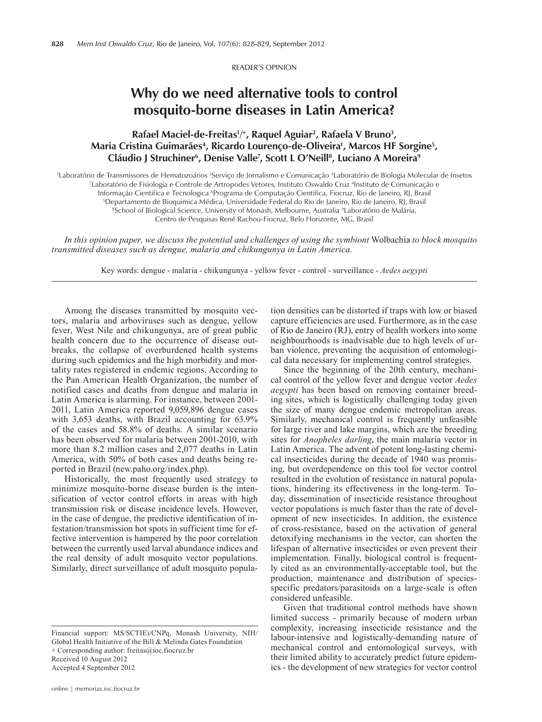Reader's Opinion

## **Why do we need alternative tools to control mosquito-borne diseases in Latin America?**

## Rafael Maciel-de-Freitas<sup>1</sup>/<sup>+</sup>, Raquel Aguiar<sup>2</sup>, Rafaela V Bruno<sup>3</sup>, **Maria Cristina Guimarães4 , Ricardo Lourenço-de-Oliveira1 , Marcos HF Sorgine5 , Cláudio J Struchiner6 , Denise Valle7 , Scott L O'Neill8 , Luciano A Moreira9**

Laboratório de Transmissores de Hematozoários <sup>2</sup>Serviço de Jornalismo e Comunicação <sup>3</sup>Laboratório de Biologia Molecular de Insetos<br>71 aboratório de Fisiologia e Controle de Artropodes Vetores, Instituto Oswaldo Cruz <sup>4</sup>I Laboratório de Fisiologia e Controle de Artropodes Vetores, Instituto Oswaldo Cruz 4 Instituto de Comunicação e Informação Cientifica e Tecnologica <sup>6</sup>Programa de Computação Cientifica, Fiocruz, Rio de Janeiro, RJ, Brasil<br>SDepartamento de Bioquimica Médica, Universidade Federal do Rio de Janeiro, Rio de Janeiro, RJ, Brasil <sup>5</sup>Departamento de Bioquimica Médica, Universidade Federal do Rio de Janeiro, Rio de Janeiro, RJ, Brasil School of Biological Science, University of Monash, Melbourne, Australia <sup>9</sup>Laboratório de Malária,

Centro de Pesquisas René Rachou-Fiocruz, Belo Horizonte, MG, Brasil

*In this opinion paper, we discuss the potential and challenges of using the symbiont* Wolbachia *to block mosquito transmitted diseases such as dengue, malaria and chikungunya in Latin America.*

Key words: dengue - malaria - chikungunya - yellow fever - control - surveillance - *Aedes aegypti*

Among the diseases transmitted by mosquito vectors, malaria and arboviruses such as dengue, yellow fever, West Nile and chikungunya, are of great public health concern due to the occurrence of disease outbreaks, the collapse of overburdened health systems during such epidemics and the high morbidity and mortality rates registered in endemic regions. According to the Pan American Health Organization, the number of notified cases and deaths from dengue and malaria in Latin America is alarming. For instance, between 2001- 2011, Latin America reported 9,059,896 dengue cases with 3,653 deaths, with Brazil accounting for 63.9% of the cases and 58.8% of deaths. A similar scenario has been observed for malaria between 2001-2010, with more than 8.2 million cases and 2,077 deaths in Latin America, with 50% of both cases and deaths being reported in Brazil (new.paho.org/index.php).

Historically, the most frequently used strategy to minimize mosquito-borne disease burden is the intensification of vector control efforts in areas with high transmission risk or disease incidence levels. However, in the case of dengue, the predictive identification of infestation/transmission hot spots in sufficient time for effective intervention is hampered by the poor correlation between the currently used larval abundance indices and the real density of adult mosquito vector populations. Similarly, direct surveillance of adult mosquito popula-

Financial support: MS/SCTIE)/CNPq, Monash University, NIH/ Global Health Initiative of the Bill & Melinda Gates Foundation + Corresponding author: freitas@ioc.fiocruz.br Received 10 August 2012 Accepted 4 September 2012

tion densities can be distorted if traps with low or biased capture efficiencies are used. Furthermore, as in the case of Rio de Janeiro (RJ), entry of health workers into some neighbourhoods is inadvisable due to high levels of urban violence, preventing the acquisition of entomological data necessary for implementing control strategies.

Since the beginning of the 20th century, mechanical control of the yellow fever and dengue vector *Aedes aegypti* has been based on removing container breeding sites, which is logistically challenging today given the size of many dengue endemic metropolitan areas. Similarly, mechanical control is frequently unfeasible for large river and lake margins, which are the breeding sites for *Anopheles darling*, the main malaria vector in Latin America. The advent of potent long-lasting chemical insecticides during the decade of 1940 was promising, but overdependence on this tool for vector control resulted in the evolution of resistance in natural populations, hindering its effectiveness in the long-term. Today, dissemination of insecticide resistance throughout vector populations is much faster than the rate of development of new insecticides. In addition, the existence of cross-resistance, based on the activation of general detoxifying mechanisms in the vector, can shorten the lifespan of alternative insecticides or even prevent their implementation. Finally, biological control is frequently cited as an environmentally-acceptable tool, but the production, maintenance and distribution of speciesspecific predators/parasitoids on a large-scale is often considered unfeasible.

Given that traditional control methods have shown limited success - primarily because of modern urban complexity, increasing insecticide resistance and the labour-intensive and logistically-demanding nature of mechanical control and entomological surveys, with their limited ability to accurately predict future epidemics - the development of new strategies for vector control